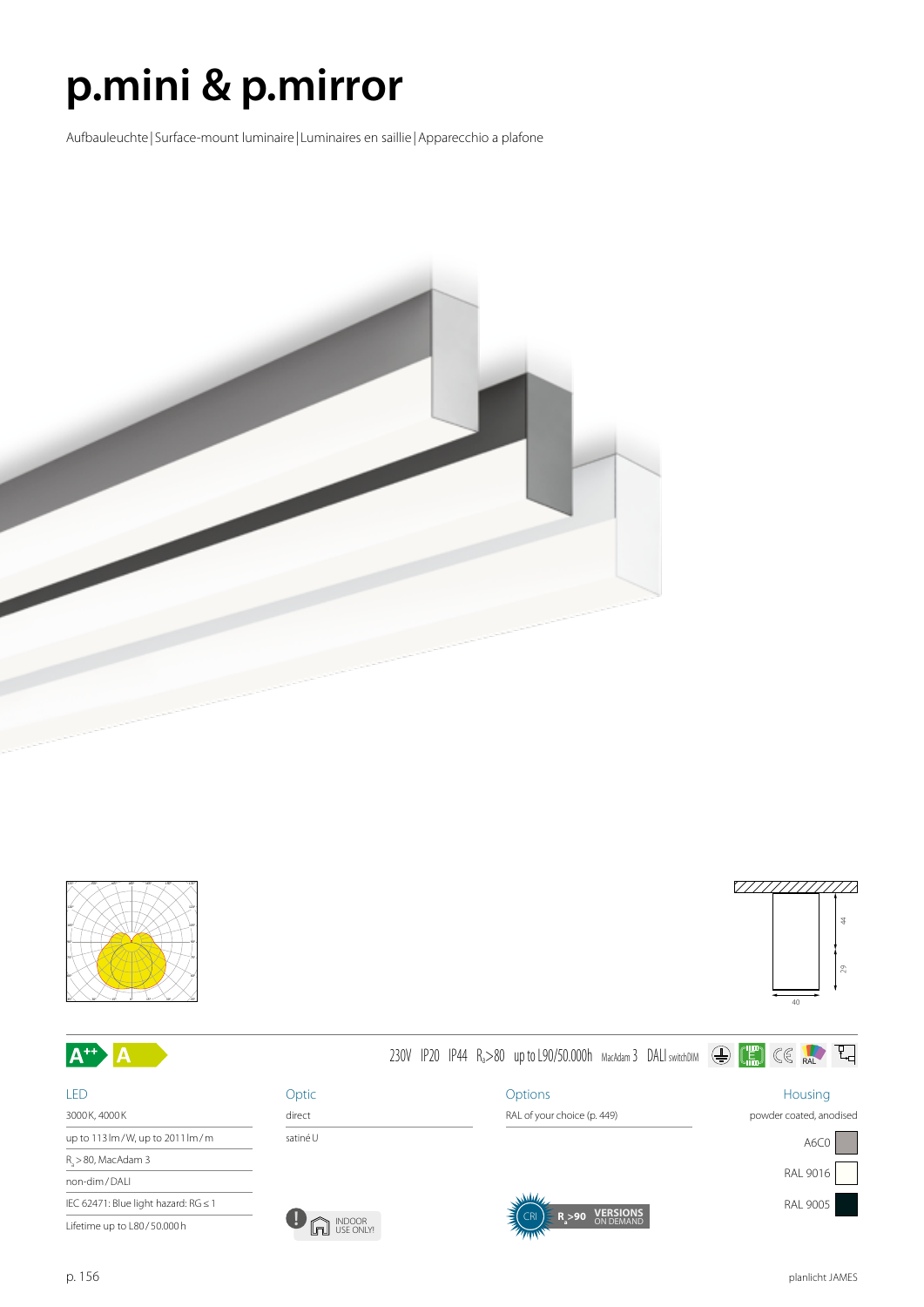## **p.mini & p.mirror**

Aufbauleuchte | Surface-mount luminaire | Luminaires en saillie |Apparecchio a plafone